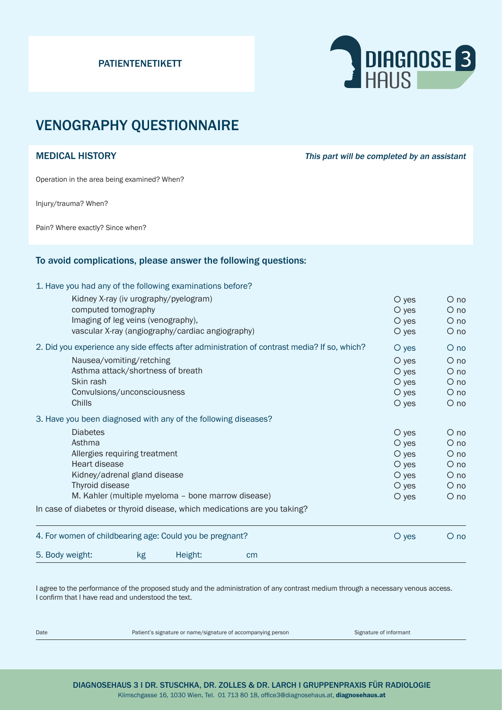#### PATIENTENETIKETT



# VENOGRAPHY QUESTIONNAIRE

MEDICAL HISTORY **This part will be completed by an assistant** 

Operation in the area being examined? When?

Injury/trauma? When?

Pain? Where exactly? Since when?

#### To avoid complications, please answer the following questions:

1. Have you had any of the following examinations before?

| 5. Body weight:                                                                                                                                         | kg                                    | Height:                                          | cm                                                                        |  |                        |                      |
|---------------------------------------------------------------------------------------------------------------------------------------------------------|---------------------------------------|--------------------------------------------------|---------------------------------------------------------------------------|--|------------------------|----------------------|
| 4. For women of childbearing age: Could you be pregnant?                                                                                                |                                       |                                                  |                                                                           |  | $O$ yes                | $O$ no               |
|                                                                                                                                                         |                                       |                                                  | In case of diabetes or thyroid disease, which medications are you taking? |  |                        |                      |
| Allergies requiring treatment<br>Heart disease<br>Kidney/adrenal gland disease<br>Thyroid disease<br>M. Kahler (multiple myeloma - bone marrow disease) |                                       |                                                  |                                                                           |  | $\circ$ yes            | $\circ$ no           |
|                                                                                                                                                         |                                       |                                                  |                                                                           |  | O yes                  | $\circ$ no           |
|                                                                                                                                                         |                                       |                                                  |                                                                           |  | $\circ$ yes            | $\circ$ no           |
|                                                                                                                                                         |                                       |                                                  |                                                                           |  | $\circ$ yes<br>$O$ yes | $\circ$ no<br>$O$ no |
|                                                                                                                                                         |                                       |                                                  |                                                                           |  |                        |                      |
| <b>Diabetes</b>                                                                                                                                         |                                       |                                                  |                                                                           |  | $O$ yes                | $O$ no               |
| 3. Have you been diagnosed with any of the following diseases?                                                                                          |                                       |                                                  |                                                                           |  |                        |                      |
| Chills                                                                                                                                                  |                                       |                                                  |                                                                           |  | $O$ yes                | $\circ$ no           |
| Convulsions/unconsciousness                                                                                                                             |                                       |                                                  |                                                                           |  | $O$ yes                | $O$ no               |
| Skin rash                                                                                                                                               |                                       |                                                  |                                                                           |  | $\circ$ yes            | $O$ no               |
| Asthma attack/shortness of breath                                                                                                                       |                                       |                                                  |                                                                           |  | $O$ yes                | $\circ$ no           |
|                                                                                                                                                         | Nausea/vomiting/retching              |                                                  |                                                                           |  | $O$ yes                | $O$ no               |
| 2. Did you experience any side effects after administration of contrast media? If so, which?                                                            |                                       |                                                  |                                                                           |  | $O$ yes                | $O$ no               |
|                                                                                                                                                         |                                       |                                                  |                                                                           |  |                        |                      |
|                                                                                                                                                         |                                       | vascular X-ray (angiography/cardiac angiography) |                                                                           |  | $O$ yes<br>$O$ yes     | $O$ no               |
| computed tomography<br>Imaging of leg veins (venography),                                                                                               |                                       |                                                  |                                                                           |  | $O$ yes                | $\circ$ no<br>$O$ no |
|                                                                                                                                                         |                                       |                                                  |                                                                           |  | $\circ$ yes            | $O$ no               |
|                                                                                                                                                         | Kidney X-ray (iv urography/pyelogram) |                                                  |                                                                           |  |                        |                      |

I agree to the performance of the proposed study and the administration of any contrast medium through a necessary venous access. I confirm that I have read and understood the text.

Date **Patient's signature or name/signature of accompanying person** Signature of informant